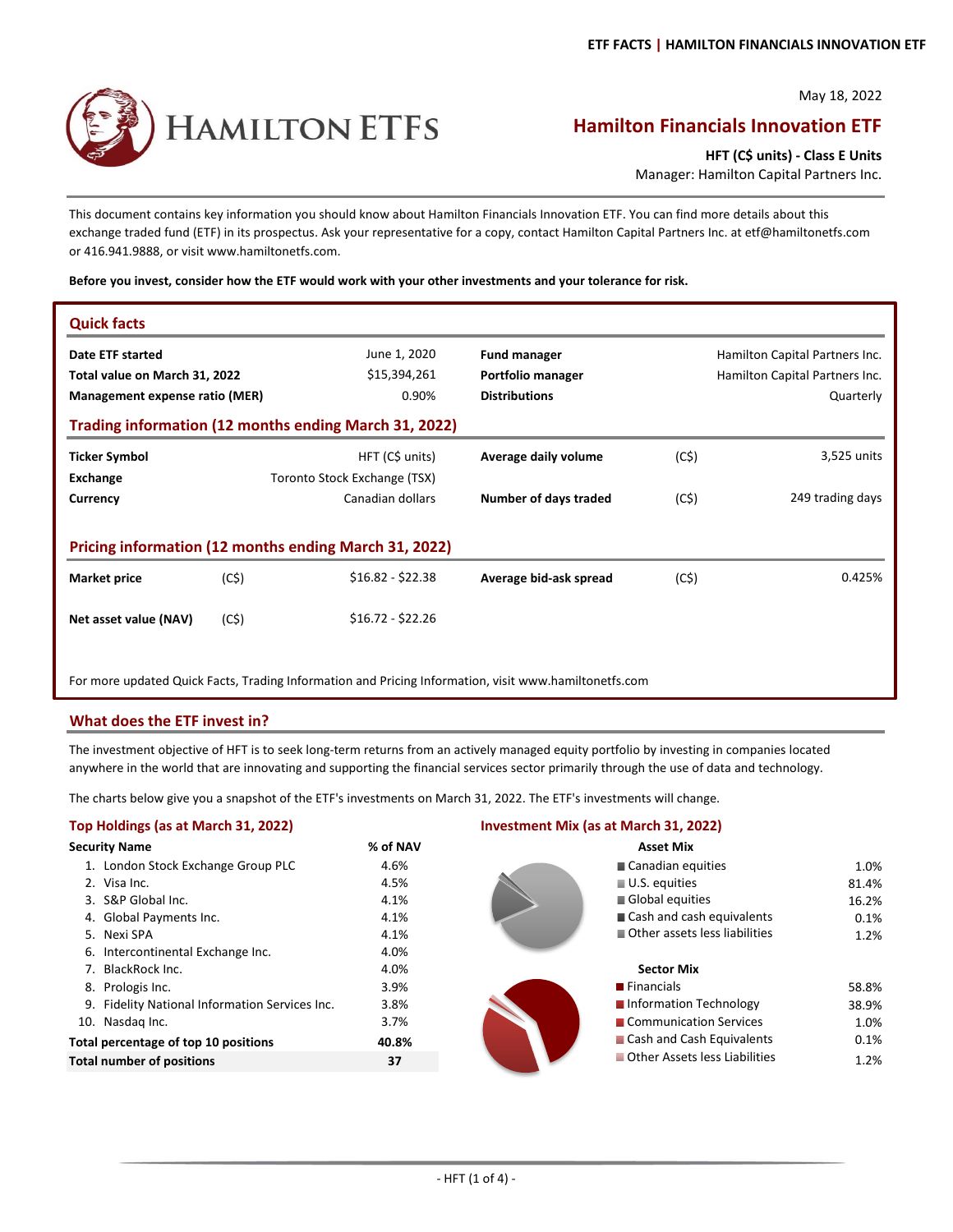May 18, 2022

# HAMILTON ETFS

## **Hamilton Financials Innovation ETF**

**HFT (C\$ units) ‐ Class E Units**

Manager: Hamilton Capital Partners Inc.

This document contains key information you should know about Hamilton Financials Innovation ETF. You can find more details about this exchange traded fund (ETF) in its prospectus. Ask your representative for a copy, contact Hamilton Capital Partners Inc. at etf@hamiltonetfs.com or 416.941.9888, or visit www.hamiltonetfs.com.

**Before you invest, consider how the ETF would work with your other investments and your tolerance for risk.**

| <b>Quick facts</b>                                    |      |                                                                                                       |                        |      |                                |  |  |  |
|-------------------------------------------------------|------|-------------------------------------------------------------------------------------------------------|------------------------|------|--------------------------------|--|--|--|
| Date ETF started                                      |      | June 1, 2020                                                                                          | <b>Fund manager</b>    |      | Hamilton Capital Partners Inc. |  |  |  |
| Total value on March 31, 2022                         |      | \$15,394,261                                                                                          | Portfolio manager      |      | Hamilton Capital Partners Inc. |  |  |  |
| Management expense ratio (MER)                        |      | 0.90%                                                                                                 | <b>Distributions</b>   |      | Quarterly                      |  |  |  |
| Trading information (12 months ending March 31, 2022) |      |                                                                                                       |                        |      |                                |  |  |  |
| <b>Ticker Symbol</b>                                  |      | HFT (C\$ units)                                                                                       | Average daily volume   | (C5) | 3,525 units                    |  |  |  |
| Exchange                                              |      | Toronto Stock Exchange (TSX)                                                                          |                        |      |                                |  |  |  |
| Currency                                              |      | Canadian dollars                                                                                      | Number of days traded  | (C5) | 249 trading days               |  |  |  |
|                                                       |      |                                                                                                       |                        |      |                                |  |  |  |
| Pricing information (12 months ending March 31, 2022) |      |                                                                                                       |                        |      |                                |  |  |  |
| <b>Market price</b>                                   | (C5) | $$16.82 - $22.38$                                                                                     | Average bid-ask spread | (C5) | 0.425%                         |  |  |  |
| Net asset value (NAV)                                 | (C5) | $$16.72 - $22.26$                                                                                     |                        |      |                                |  |  |  |
|                                                       |      | For more updated Quick Facts, Trading Information and Pricing Information, visit www.hamiltonetfs.com |                        |      |                                |  |  |  |

#### **What does the ETF invest in?**

The investment objective of HFT is to seek long‐term returns from an actively managed equity portfolio by investing in companies located anywhere in the world that are innovating and supporting the financial services sector primarily through the use of data and technology.

The charts below give you a snapshot of the ETF's investments on March 31, 2022. The ETF's investments will change.

#### **Top Holdings (as at March 31, 2022) Investment Mix (as at March 31, 2022) Security Name Manual Asset Mix**  $\%$  of NAV Asset Mix 1. London Stock Exchange Group PLC 4.6% 1.0% 2. Visa Inc.  $81.4\%$  81.4% 3. S&P Global Inc. 16.2% 16.2% 16.2% 16.2% 16.2% 16.2% 16.2% 16.2% 4. Global Payments Inc. 4.1% 0.1% 5. Nexi SPA 4.1% 1.2% Other assets less liabilities 6. Intercontinental Exchange Inc. 4.0% 7. BlackRock Inc. 4.0% **Sector Mix** 8. Prologis Inc. 58.8% 58.8% 58.8% 58.8% 58.8% 58.8% 58.8% 58.8% 58.8% 58.8% 58.8% 58.8% 58.8% 58.8% 58.8% 58.8% 9. Fidelity National Information Services Inc. 38.8% 38.9% 38.9% 38.9% 38.9% 38.9% 38.9% 10. Nasdaq Inc. 3.7% 1.0% Communication Services **Total percentage of top 10 positions 40.8% 40.8% And Cash and Cash Equivalents 6.1% 8.1% And Cash Equivalents 40.1% And Cash Equivalents 6.1% 6.1% And Cash Equivalents 6.1% And Cash Equivalents 6.1% And Cash Equivalents 6 Total number of positions 1.2% 37** 1.2% **1.2% 1.2% 1.2% 1.2% 1.2% 1.2%** Canadian equities U.S. equities Global equities Cash and cash equivalents **Financials Information Technology** ■ Cash and Cash Equivalents **Other Assets less Liabilities**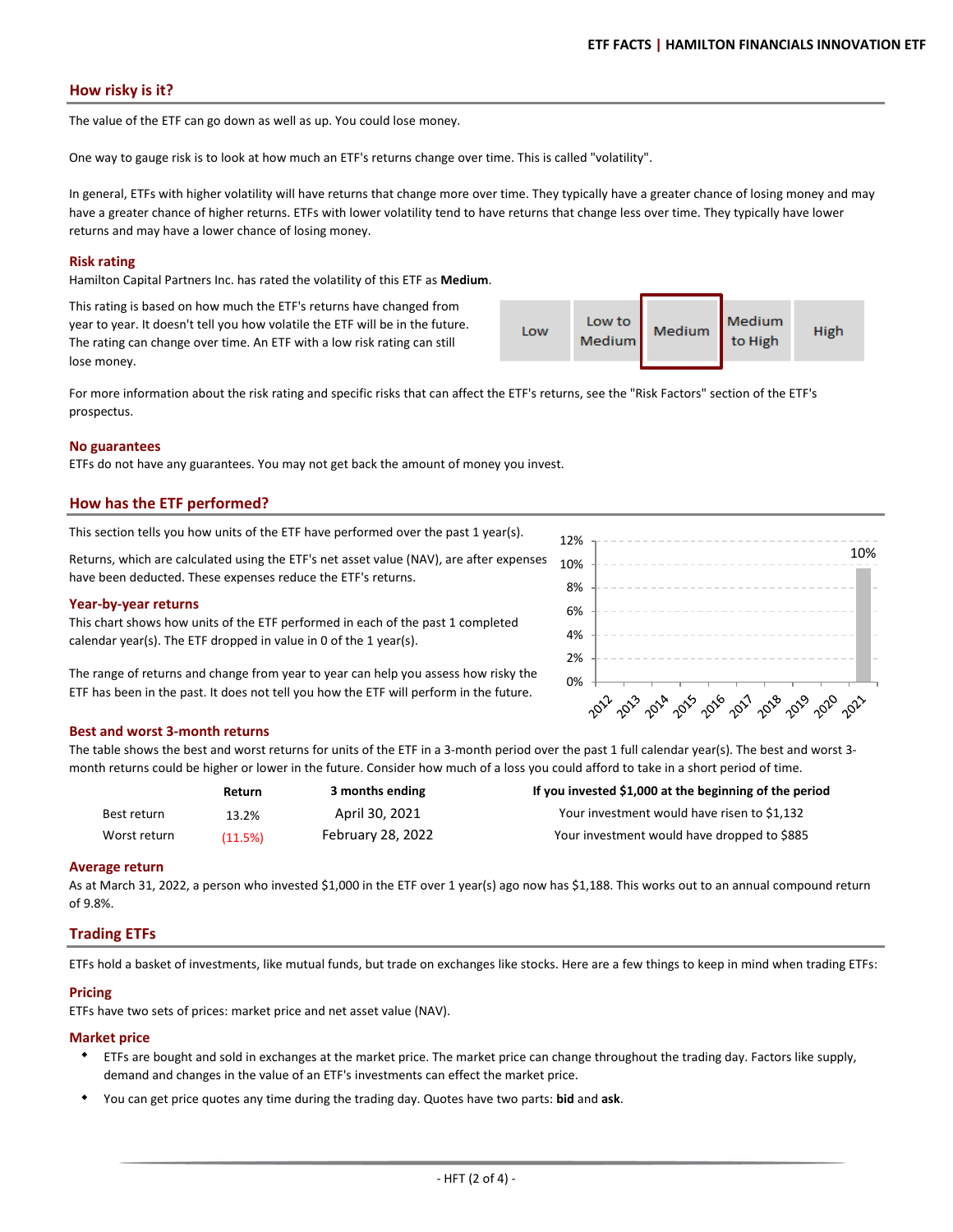#### **How risky is it?**

The value of the ETF can go down as well as up. You could lose money.

One way to gauge risk is to look at how much an ETF's returns change over time. This is called "volatility".

In general, ETFs with higher volatility will have returns that change more over time. They typically have a greater chance of losing money and may have a greater chance of higher returns. ETFs with lower volatility tend to have returns that change less over time. They typically have lower returns and may have a lower chance of losing money.

#### **Risk rating**

Hamilton Capital Partners Inc. has rated the volatility of this ETF as **Medium**.

This rating is based on how much the ETF's returns have changed from year to year. It doesn't tell you how volatile the ETF will be in the future. The rating can change over time. An ETF with a low risk rating can still lose money.

Medium Low to Low Medium High Medium to High

For more information about the risk rating and specific risks that can affect the ETF's returns, see the "Risk Factors" section of the ETF's prospectus.

#### **No guarantees**

ETFs do not have any guarantees. You may not get back the amount of money you invest.

#### **How has the ETF performed?**

This section tells you how units of the ETF have performed over the past 1 year(s).

Returns, which are calculated using the ETF's net asset value (NAV), are after expenses have been deducted. These expenses reduce the ETF's returns.

#### **Year‐by‐year returns**

This chart shows how units of the ETF performed in each of the past 1 completed calendar year(s). The ETF dropped in value in 0 of the 1 year(s).

The range of returns and change from year to year can help you assess how risky the ETF has been in the past. It does not tell you how the ETF will perform in the future.

#### **Best and worst 3‐month returns**

The table shows the best and worst returns for units of the ETF in a 3-month period over the past 1 full calendar year(s). The best and worst 3month returns could be higher or lower in the future. Consider how much of a loss you could afford to take in a short period of time.

|              | <b>Return</b> | 3 months ending   | If you invested \$1,000 at the beginning of the period |
|--------------|---------------|-------------------|--------------------------------------------------------|
| Best return  | 13.2%         | April 30, 2021    | Your investment would have risen to \$1,132            |
| Worst return | (11.5%)       | February 28, 2022 | Your investment would have dropped to \$885            |

#### **Average return**

As at March 31, 2022, a person who invested \$1,000 in the ETF over 1 year(s) ago now has \$1,188. This works out to an annual compound return of 9.8%.

#### **Trading ETFs**

ETFs hold a basket of investments, like mutual funds, but trade on exchanges like stocks. Here are a few things to keep in mind when trading ETFs:

#### **Pricing**

ETFs have two sets of prices: market price and net asset value (NAV).

#### **Market price**

- ETFs are bought and sold in exchanges at the market price. The market price can change throughout the trading day. Factors like supply, demand and changes in the value of an ETF's investments can effect the market price.
- $\bullet$ You can get price quotes any time during the trading day. Quotes have two parts: **bid** and **ask**.



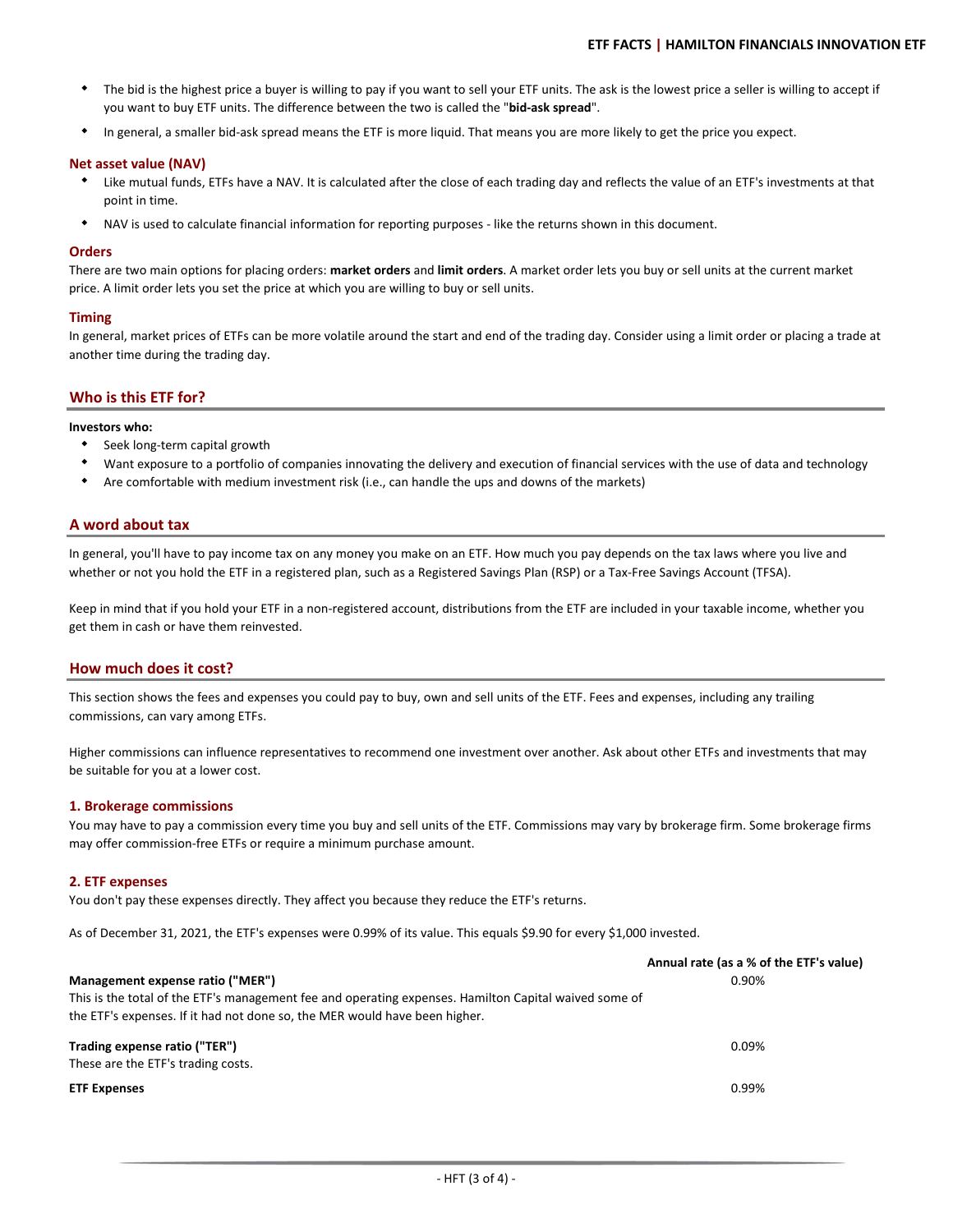- $\bullet$ The bid is the highest price a buyer is willing to pay if you want to sell your ETF units. The ask is the lowest price a seller is willing to accept if you want to buy ETF units. The difference between the two is called the "**bid‐ask spread**".
- $\bullet$ In general, a smaller bid‐ask spread means the ETF is more liquid. That means you are more likely to get the price you expect.

#### **Net asset value (NAV)**

- Like mutual funds, ETFs have a NAV. It is calculated after the close of each trading day and reflects the value of an ETF's investments at that point in time.
- $\bullet$ NAV is used to calculate financial information for reporting purposes ‐ like the returns shown in this document.

#### **Orders**

There are two main options for placing orders: **market orders** and **limit orders**. A market order lets you buy or sell units at the current market price. A limit order lets you set the price at which you are willing to buy or sell units.

#### **Timing**

In general, market prices of ETFs can be more volatile around the start and end of the trading day. Consider using a limit order or placing a trade at another time during the trading day.

#### **Who is this ETF for?**

#### **Investors who:**

- Seek long‐term capital growth
- Want exposure to a portfolio of companies innovating the delivery and execution of financial services with the use of data and technology
- $\bullet$ Are comfortable with medium investment risk (i.e., can handle the ups and downs of the markets)

#### **A word about tax**

In general, you'll have to pay income tax on any money you make on an ETF. How much you pay depends on the tax laws where you live and whether or not you hold the ETF in a registered plan, such as a Registered Savings Plan (RSP) or a Tax-Free Savings Account (TFSA).

Keep in mind that if you hold your ETF in a non-registered account, distributions from the ETF are included in your taxable income, whether you get them in cash or have them reinvested.

#### **How much does it cost?**

This section shows the fees and expenses you could pay to buy, own and sell units of the ETF. Fees and expenses, including any trailing commissions, can vary among ETFs.

Higher commissions can influence representatives to recommend one investment over another. Ask about other ETFs and investments that may be suitable for you at a lower cost.

#### **1. Brokerage commissions**

You may have to pay a commission every time you buy and sell units of the ETF. Commissions may vary by brokerage firm. Some brokerage firms may offer commission‐free ETFs or require a minimum purchase amount.

#### **2. ETF expenses**

You don't pay these expenses directly. They affect you because they reduce the ETF's returns.

As of December 31, 2021, the ETF's expenses were 0.99% of its value. This equals \$9.90 for every \$1,000 invested.

|                                                                                                       | Annual rate (as a % of the ETF's value) |
|-------------------------------------------------------------------------------------------------------|-----------------------------------------|
| Management expense ratio ("MER")                                                                      | 0.90%                                   |
| This is the total of the ETF's management fee and operating expenses. Hamilton Capital waived some of |                                         |
| the ETF's expenses. If it had not done so, the MER would have been higher.                            |                                         |
| Trading expense ratio ("TER")                                                                         | 0.09%                                   |
| These are the ETF's trading costs.                                                                    |                                         |
| <b>ETF Expenses</b>                                                                                   | 0.99%                                   |